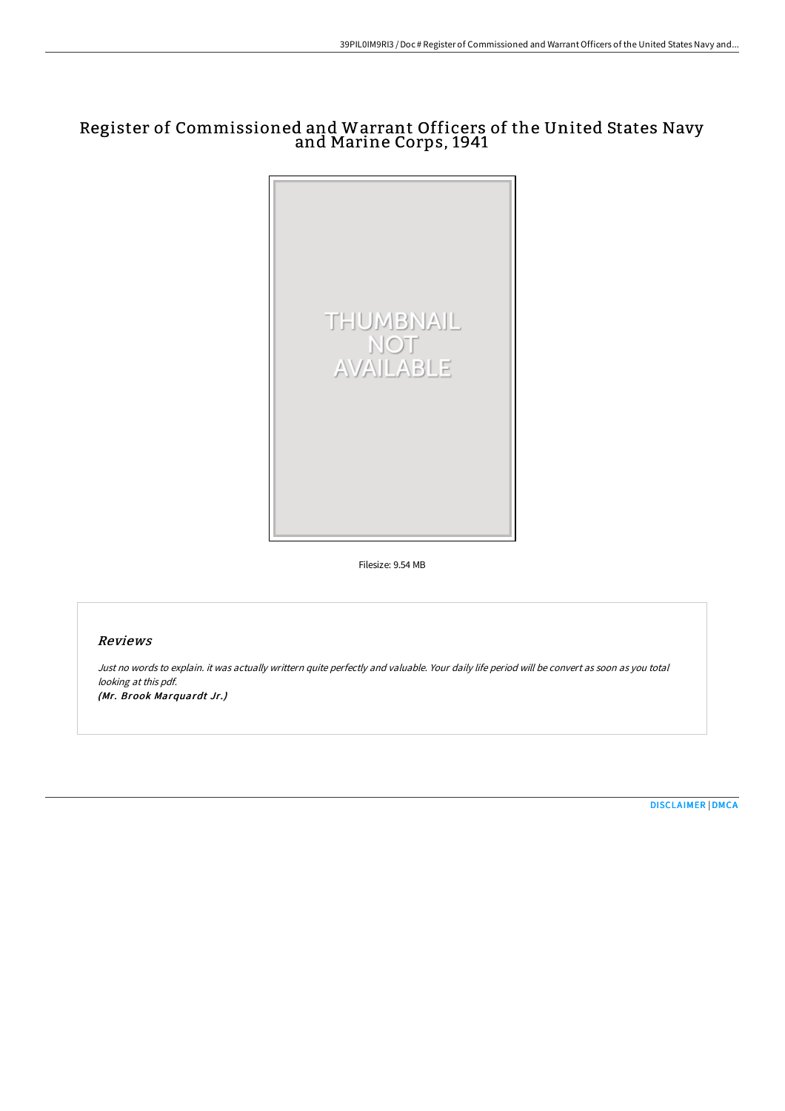# Register of Commissioned and Warrant Officers of the United States Navy and Marine Corps, 1941



Filesize: 9.54 MB

### Reviews

Just no words to explain. it was actually writtern quite perfectly and valuable. Your daily life period will be convert as soon as you total looking at this pdf. (Mr. Brook Marquardt Jr.)

[DISCLAIMER](http://albedo.media/disclaimer.html) | [DMCA](http://albedo.media/dmca.html)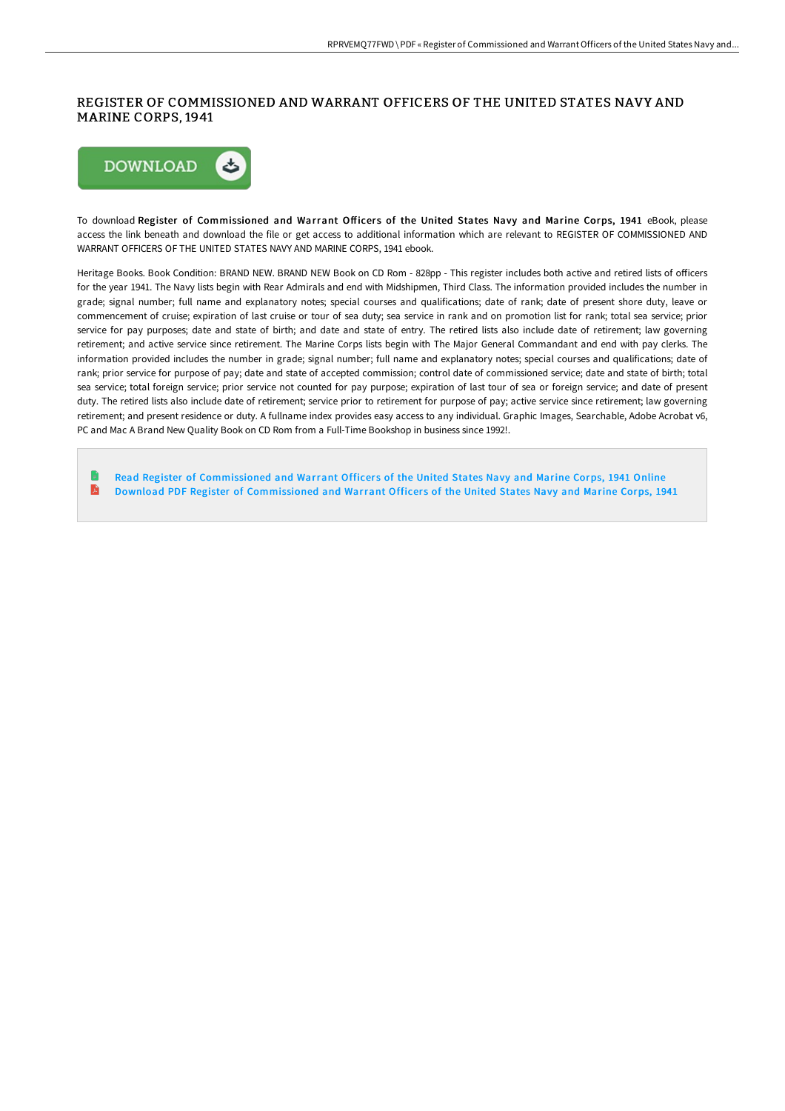### REGISTER OF COMMISSIONED AND WARRANT OFFICERS OF THE UNITED STATES NAVY AND MARINE CORPS, 1941



To download Register of Commissioned and Warrant Officers of the United States Navy and Marine Corps, 1941 eBook, please access the link beneath and download the file or get access to additional information which are relevant to REGISTER OF COMMISSIONED AND WARRANT OFFICERS OF THE UNITED STATES NAVY AND MARINE CORPS, 1941 ebook.

Heritage Books. Book Condition: BRAND NEW. BRAND NEW Book on CD Rom - 828pp - This register includes both active and retired lists of officers for the year 1941. The Navy lists begin with Rear Admirals and end with Midshipmen, Third Class. The information provided includes the number in grade; signal number; full name and explanatory notes; special courses and qualifications; date of rank; date of present shore duty, leave or commencement of cruise; expiration of last cruise or tour of sea duty; sea service in rank and on promotion list for rank; total sea service; prior service for pay purposes; date and state of birth; and date and state of entry. The retired lists also include date of retirement; law governing retirement; and active service since retirement. The Marine Corps lists begin with The Major General Commandant and end with pay clerks. The information provided includes the number in grade; signal number; full name and explanatory notes; special courses and qualifications; date of rank; prior service for purpose of pay; date and state of accepted commission; control date of commissioned service; date and state of birth; total sea service; total foreign service; prior service not counted for pay purpose; expiration of last tour of sea or foreign service; and date of present duty. The retired lists also include date of retirement; service prior to retirement for purpose of pay; active service since retirement; law governing retirement; and present residence or duty. A fullname index provides easy access to any individual. Graphic Images, Searchable, Adobe Acrobat v6, PC and Mac A Brand New Quality Book on CD Rom from a Full-Time Bookshop in business since 1992!.

Read Register of [Commissioned](http://albedo.media/register-of-commissioned-and-warrant-officers-of.html) and Warrant Officers of the United States Navy and Marine Corps, 1941 Online E Download PDF Register of [Commissioned](http://albedo.media/register-of-commissioned-and-warrant-officers-of.html) and Warrant Officers of the United States Navy and Marine Corps, 1941